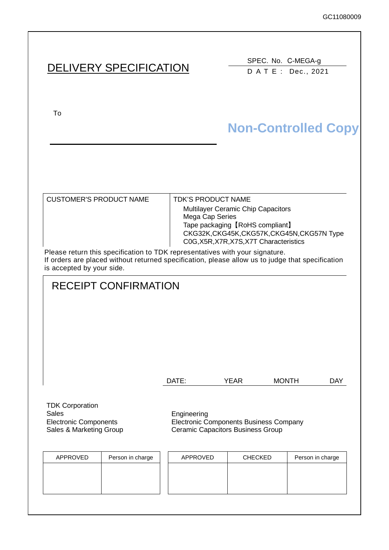|                                                                                                                                                                                                                                              | <b>DELIVERY SPECIFICATION</b> |                                                                                                                                               |                                             |            |  |  |
|----------------------------------------------------------------------------------------------------------------------------------------------------------------------------------------------------------------------------------------------|-------------------------------|-----------------------------------------------------------------------------------------------------------------------------------------------|---------------------------------------------|------------|--|--|
| To                                                                                                                                                                                                                                           |                               |                                                                                                                                               | <b>Non-Controlled Copy</b>                  |            |  |  |
| <b>CUSTOMER'S PRODUCT NAME</b>                                                                                                                                                                                                               | Mega Cap Series               | <b>TDK'S PRODUCT NAME</b><br>Multilayer Ceramic Chip Capacitors<br>Tape packaging [RoHS compliant]<br>C0G, X5R, X7R, X7S, X7T Characteristics | CKG32K, CKG45K, CKG57K, CKG45N, CKG57N Type |            |  |  |
| Please return this specification to TDK representatives with your signature.<br>If orders are placed without returned specification, please allow us to judge that specification<br>is accepted by your side.<br><b>RECEIPT CONFIRMATION</b> |                               |                                                                                                                                               |                                             |            |  |  |
|                                                                                                                                                                                                                                              | DATE:                         | <b>YEAR</b>                                                                                                                                   | <b>MONTH</b>                                | <b>DAY</b> |  |  |
| <b>TDK Corporation</b><br><b>Sales</b><br><b>Electronic Components</b><br>Sales & Marketing Group                                                                                                                                            | Engineering                   | <b>Electronic Components Business Company</b><br><b>Ceramic Capacitors Business Group</b>                                                     |                                             |            |  |  |
| APPROVED<br>Person in charge                                                                                                                                                                                                                 | APPROVED                      | <b>CHECKED</b>                                                                                                                                | Person in charge                            |            |  |  |
|                                                                                                                                                                                                                                              |                               |                                                                                                                                               |                                             |            |  |  |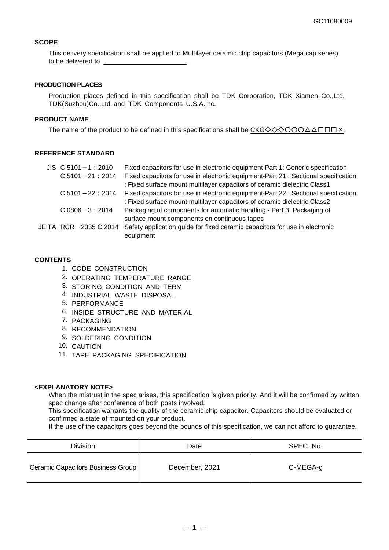#### **SCOPE**

This delivery specification shall be applied to Multilayer ceramic chip capacitors (Mega cap series) to be delivered to

#### **PRODUCTION PLACES**

Production places defined in this specification shall be TDK Corporation, TDK Xiamen Co.,Ltd, TDK(Suzhou)Co.,Ltd and TDK Components U.S.A.Inc.

### **PRODUCT NAME**

The name of the product to be defined in this specifications shall be  $CKG \diamondsuit \diamondsuit \diamondsuit \diamondsuit \diamondsuit \triangle\square\square\square\times$ .

#### **REFERENCE STANDARD**

| $JIS$ C 5101 - 1 : 2010 | Fixed capacitors for use in electronic equipment-Part 1: Generic specification     |
|-------------------------|------------------------------------------------------------------------------------|
| $C$ 5101 - 21 : 2014    | Fixed capacitors for use in electronic equipment-Part 21 : Sectional specification |
|                         | : Fixed surface mount multilayer capacitors of ceramic dielectric, Class1          |
| $C$ 5101 - 22 : 2014    | Fixed capacitors for use in electronic equipment-Part 22 : Sectional specification |
|                         | : Fixed surface mount multilayer capacitors of ceramic dielectric, Class2          |
| $C$ 0806 $-3:2014$      | Packaging of components for automatic handling - Part 3: Packaging of              |
|                         | surface mount components on continuous tapes                                       |
| JEITA RCR-2335 C 2014   | Safety application guide for fixed ceramic capacitors for use in electronic        |
|                         | equipment                                                                          |

#### **CONTENTS**

- 1. CODE CONSTRUCTION
- 2. OPERATING TEMPERATURE RANGE
- 3. STORING CONDITION AND TERM
- 4. INDUSTRIAL WASTE DISPOSAL
- 5. PERFORMANCE
- 6. INSIDE STRUCTURE AND MATERIAL
- 7. PACKAGING
- 8. RECOMMENDATION
- 9. SOLDERING CONDITION
- 10. CAUTION
- 11. TAPE PACKAGING SPECIFICATION

### **<EXPLANATORY NOTE>**

When the mistrust in the spec arises, this specification is given priority. And it will be confirmed by written spec change after conference of both posts involved.

This specification warrants the quality of the ceramic chip capacitor. Capacitors should be evaluated or confirmed a state of mounted on your product.

If the use of the capacitors goes beyond the bounds of this specification, we can not afford to guarantee.

| <b>Division</b>                   | Date           | SPEC. No. |
|-----------------------------------|----------------|-----------|
| Ceramic Capacitors Business Group | December, 2021 | C-MEGA-g  |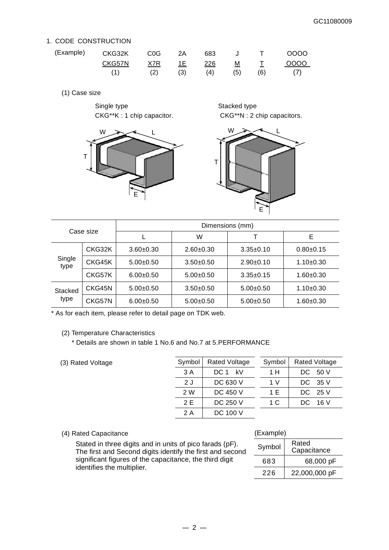## 1. CODE CONSTRUCTION

| (Example) | CKG32K | C <sub>0</sub> G | 2A   | 683 |     | $\top$ | 0000 |
|-----------|--------|------------------|------|-----|-----|--------|------|
|           | CKG57N | X7R              | 1E - | 226 | M   |        | 0000 |
|           |        | (2)              | (3)  | (4) | (5) | (6)    |      |

(1) Case size

Single type Stacked type



CKG\*\*K : 1 chip capacitor. CKG\*\*N : 2 chip capacitors.



| Case size       |        | Dimensions (mm) |             |             |               |  |
|-----------------|--------|-----------------|-------------|-------------|---------------|--|
|                 |        |                 | W           |             | E             |  |
|                 | CKG32K | $3.60 + 0.30$   | $2.60+0.30$ | $3.35+0.10$ | $0.80 + 0.15$ |  |
| Single<br>type  | CKG45K | $5.00+0.50$     | $3.50+0.50$ | $2.90+0.10$ | $1.10+0.30$   |  |
|                 | CKG57K | $6.00+0.50$     | $5.00+0.50$ | $3.35+0.15$ | $1.60 + 0.30$ |  |
| Stacked<br>type | CKG45N | $5.00+0.50$     | $3.50+0.50$ | $5.00+0.50$ | $1.10+0.30$   |  |
|                 | CKG57N | $6.00+0.50$     | $5.00+0.50$ | $5.00+0.50$ | 1.60±0.30     |  |

\* As for each item, please refer to detail page on TDK web.

## (2) Temperature Characteristics

\* Details are shown in table 1 No.6 and No.7 at 5.PERFORMANCE

(3) Rated Voltage

| Symbol | <b>Rated Voltage</b> | Symbol | <b>Rated Voltage</b> |
|--------|----------------------|--------|----------------------|
| 3 A    | $DC 1$ kV            | 1 H    | -50 V<br>DC.         |
| 2J     | DC 630 V             | 1 V    | - 35 V<br>DC.        |
| 2 W    | DC 450 V             | 1 E    | DC 25 V              |
| 2 F    | DC 250 V             | 1 C    | - 16 V<br>DC.        |
| 2 A    | DC 100 V             |        |                      |

## (4) Rated Capacitance

Stated in three digits and in units of pico farads (pF). The first and Second digits identify the first and second significant figures of the capacitance, the third digit identifies the multiplier.

## (Example)

| Symbol | Rated<br>Capacitance |
|--------|----------------------|
| 683    | 68,000 pF            |
| 226    | 22,000,000 pF        |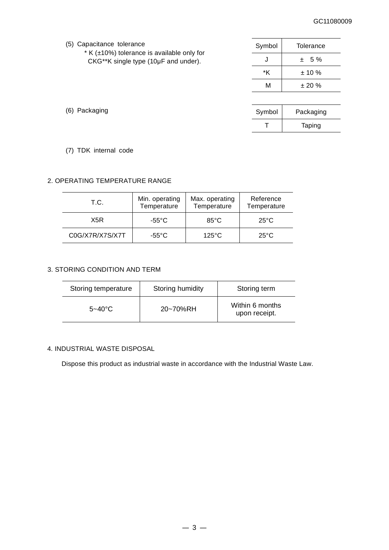## GC11080009

| (5) Capacitance tolerance |  |
|---------------------------|--|
|---------------------------|--|

 $*$  K ( $\pm$ 10%) tolerance is available only for CKG\*\*K single type (10μF and under).

Symbol Tolerance  $J \t\pm 5 \%$  $*K$   $\pm 10\%$ M  $\pm 20 \%$ 

| Symbol | Packaging |
|--------|-----------|
|        | Taping    |

(6) Packaging

(7) TDK internal code

## 2. OPERATING TEMPERATURE RANGE

| T.C.            | Min. operating<br>Temperature | Max. operating<br>Temperature | Reference<br>Temperature |
|-----------------|-------------------------------|-------------------------------|--------------------------|
| X5R<br>-55°C    |                               | $85^{\circ}$ C                | $25^{\circ}$ C           |
| C0G/X7R/X7S/X7T | -55°C                         | $125^{\circ}$ C               | $25^{\circ}$ C           |

## 3. STORING CONDITION AND TERM

| Storing temperature | Storing humidity | Storing term                     |  |  |
|---------------------|------------------|----------------------------------|--|--|
| $5 - 40^{\circ}$ C  | 20~70%RH         | Within 6 months<br>upon receipt. |  |  |

## 4. INDUSTRIAL WASTE DISPOSAL

Dispose this product as industrial waste in accordance with the Industrial Waste Law.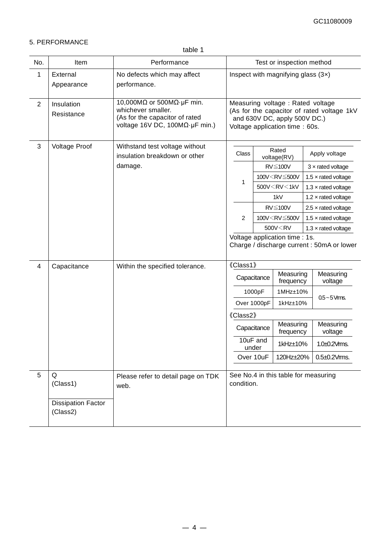## 5. PERFORMANCE

| No.            | Item                                       | Performance                                                                                                                          |                                                                                                                                                   |                                                                                                  | Test or inspection method                                                               |                            |                                            |
|----------------|--------------------------------------------|--------------------------------------------------------------------------------------------------------------------------------------|---------------------------------------------------------------------------------------------------------------------------------------------------|--------------------------------------------------------------------------------------------------|-----------------------------------------------------------------------------------------|----------------------------|--------------------------------------------|
| 1              | External<br>Appearance                     | No defects which may affect<br>performance.                                                                                          | Inspect with magnifying glass $(3x)$                                                                                                              |                                                                                                  |                                                                                         |                            |                                            |
| $\overline{2}$ | Insulation<br>Resistance                   | 10,000M $\Omega$ or 500M $\Omega$ -uF min.<br>whichever smaller.<br>(As for the capacitor of rated<br>voltage 16V DC, 100ΜΩ·μF min.) | Measuring voltage : Rated voltage<br>(As for the capacitor of rated voltage 1kV<br>and 630V DC, apply 500V DC.)<br>Voltage application time: 60s. |                                                                                                  |                                                                                         |                            |                                            |
| $\mathbf{3}$   | Voltage Proof                              | Withstand test voltage without<br>insulation breakdown or other                                                                      | Class                                                                                                                                             | Rated<br>Apply voltage<br>voltage(RV)                                                            |                                                                                         |                            |                                            |
|                |                                            | damage.                                                                                                                              |                                                                                                                                                   |                                                                                                  | $RV \leq 100V$                                                                          |                            | $3 \times$ rated voltage                   |
|                |                                            |                                                                                                                                      |                                                                                                                                                   |                                                                                                  | 100V <rv≦500v< td=""><td></td><td>1.5 <math>\times</math> rated voltage</td></rv≦500v<> |                            | 1.5 $\times$ rated voltage                 |
|                |                                            |                                                                                                                                      | 1                                                                                                                                                 |                                                                                                  | 500V <rv<1kv< td=""><td></td><td>1.3 <math>\times</math> rated voltage</td></rv<1kv<>   |                            | 1.3 $\times$ rated voltage                 |
|                |                                            |                                                                                                                                      |                                                                                                                                                   |                                                                                                  | 1kV                                                                                     |                            | 1.2 $\times$ rated voltage                 |
|                |                                            |                                                                                                                                      |                                                                                                                                                   | $RV \leq 100V$<br>100V <rv≦500v< td=""><td><math>2.5 \times</math> rated voltage</td></rv≦500v<> |                                                                                         | $2.5 \times$ rated voltage |                                            |
|                |                                            |                                                                                                                                      | 2                                                                                                                                                 |                                                                                                  |                                                                                         |                            | 1.5 $\times$ rated voltage                 |
|                |                                            |                                                                                                                                      |                                                                                                                                                   |                                                                                                  | 500V <rv< td=""><td colspan="2">1.3 <math>\times</math> rated voltage</td></rv<>        | 1.3 $\times$ rated voltage |                                            |
|                |                                            |                                                                                                                                      |                                                                                                                                                   |                                                                                                  | Voltage application time : 1s.                                                          |                            | Charge / discharge current : 50mA or lower |
| 4              | Capacitance                                | Within the specified tolerance.                                                                                                      | 《Class1》                                                                                                                                          |                                                                                                  |                                                                                         |                            |                                            |
|                |                                            |                                                                                                                                      |                                                                                                                                                   | Capacitance                                                                                      | Measuring<br>frequency                                                                  |                            | Measuring<br>voltage                       |
|                |                                            |                                                                                                                                      |                                                                                                                                                   | 1000pF                                                                                           | 1MHz±10%                                                                                |                            | $0.5 - 5$ Vms.                             |
|                |                                            |                                                                                                                                      |                                                                                                                                                   | Over 1000pF                                                                                      | 1kHz±10%                                                                                |                            |                                            |
|                |                                            |                                                                                                                                      | 《Class2》                                                                                                                                          |                                                                                                  |                                                                                         |                            |                                            |
|                |                                            |                                                                                                                                      |                                                                                                                                                   | Measuring<br>Capacitance<br>frequency                                                            |                                                                                         |                            | Measuring<br>voltage                       |
|                |                                            |                                                                                                                                      | 10uF and<br>under                                                                                                                                 |                                                                                                  | 1kHz±10%                                                                                |                            | 1.0±0.2Vms.                                |
|                |                                            |                                                                                                                                      |                                                                                                                                                   | Over 10uF                                                                                        | 120Hz±20%                                                                               |                            | $0.5\pm0.2$ Vms.                           |
| 5              | Q<br>(Class1)<br><b>Dissipation Factor</b> | Please refer to detail page on TDK<br>web.                                                                                           | See No.4 in this table for measuring<br>condition.                                                                                                |                                                                                                  |                                                                                         |                            |                                            |
|                | (Class2)                                   |                                                                                                                                      |                                                                                                                                                   |                                                                                                  |                                                                                         |                            |                                            |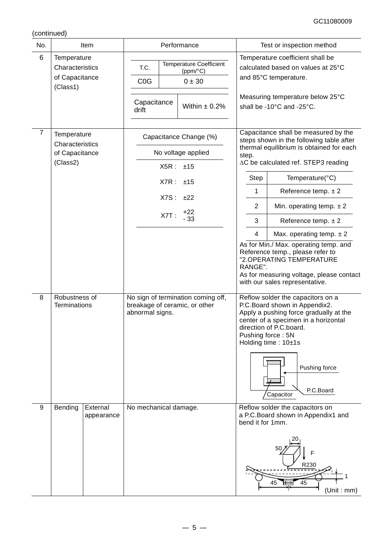(continued)

| No.                 |                                                                                                      | Item                   |                                                                                                                                                                                                                  |  | Performance                                                               |                                                                                                                                                                                                                                                                                                                                                                                                                                                                                                                                                                                                                                                                                                                                                                                                 | Test or inspection method |                                                                                                                                                                  |  |
|---------------------|------------------------------------------------------------------------------------------------------|------------------------|------------------------------------------------------------------------------------------------------------------------------------------------------------------------------------------------------------------|--|---------------------------------------------------------------------------|-------------------------------------------------------------------------------------------------------------------------------------------------------------------------------------------------------------------------------------------------------------------------------------------------------------------------------------------------------------------------------------------------------------------------------------------------------------------------------------------------------------------------------------------------------------------------------------------------------------------------------------------------------------------------------------------------------------------------------------------------------------------------------------------------|---------------------------|------------------------------------------------------------------------------------------------------------------------------------------------------------------|--|
| 6                   | Temperature<br>Characteristics<br>of Capacitance<br>(Class1)                                         |                        | T.C.<br>C <sub>0</sub> G<br>Capacitance<br>drift                                                                                                                                                                 |  | <b>Temperature Coefficient</b><br>(ppm/°C)<br>0 ± 30<br>Within $\pm$ 0.2% |                                                                                                                                                                                                                                                                                                                                                                                                                                                                                                                                                                                                                                                                                                                                                                                                 |                           | Temperature coefficient shall be<br>calculated based on values at 25°C<br>and 85°C temperature.<br>Measuring temperature below 25°C<br>shall be -10°C and -25°C. |  |
| $\overline{7}$<br>8 | Temperature<br>Characteristics<br>of Capacitance<br>(Class2)<br>Robustness of<br><b>Terminations</b> |                        | Capacitance Change (%)<br>No voltage applied<br>X5R:<br>±15<br>X7R:<br>±15<br>X7S:<br>±22<br>$+22$<br>$X7T$ :<br>$-33$<br>No sign of termination coming off,<br>breakage of ceramic, or other<br>abnormal signs. |  |                                                                           | Capacitance shall be measured by the<br>steps shown in the following table after<br>thermal equilibrium is obtained for each<br>step.<br>∆C be calculated ref. STEP3 reading<br>Step<br>Temperature(°C)<br>Reference temp. $\pm 2$<br>1<br>$\overline{2}$<br>Min. operating temp. $\pm 2$<br>3<br>Reference temp. $\pm 2$<br>4<br>Max. operating temp. $\pm 2$<br>As for Min./ Max. operating temp. and<br>Reference temp., please refer to<br>"2.OPERATING TEMPERATURE<br>RANGE".<br>As for measuring voltage, please contact<br>with our sales representative.<br>Reflow solder the capacitors on a<br>P.C.Board shown in Appendix2.<br>Apply a pushing force gradually at the<br>center of a specimen in a horizontal<br>direction of P.C.board.<br>Pushing force: 5N<br>Holding time: 10±1s |                           |                                                                                                                                                                  |  |
| 9                   | Bending                                                                                              | External<br>appearance | No mechanical damage.                                                                                                                                                                                            |  |                                                                           |                                                                                                                                                                                                                                                                                                                                                                                                                                                                                                                                                                                                                                                                                                                                                                                                 |                           | P.C.Board<br>Capacitor<br>Reflow solder the capacitors on<br>a P.C.Board shown in Appendix1 and<br>bend it for 1mm.<br>F<br>R230<br>45<br>45<br>(Unit : mm)      |  |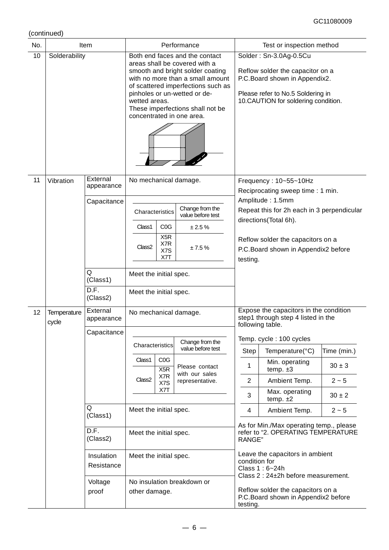| No. |                      | Item                                                                       | Performance                                                                                                                                                                                                                                                                                     |                                              |                                                         |                                                                                                           | Test or inspection method                                                                                                                                                                                                         |  |  |
|-----|----------------------|----------------------------------------------------------------------------|-------------------------------------------------------------------------------------------------------------------------------------------------------------------------------------------------------------------------------------------------------------------------------------------------|----------------------------------------------|---------------------------------------------------------|-----------------------------------------------------------------------------------------------------------|-----------------------------------------------------------------------------------------------------------------------------------------------------------------------------------------------------------------------------------|--|--|
| 10  | Solderability        |                                                                            | Both end faces and the contact<br>areas shall be covered with a<br>smooth and bright solder coating<br>with no more than a small amount<br>of scattered imperfections such as<br>pinholes or un-wetted or de-<br>wetted areas.<br>These imperfections shall not be<br>concentrated in one area. |                                              |                                                         |                                                                                                           | Solder: Sn-3.0Ag-0.5Cu<br>Reflow solder the capacitor on a<br>P.C. Board shown in Appendix2.<br>Please refer to No.5 Soldering in<br>10.CAUTION for soldering condition.                                                          |  |  |
| 11  | Vibration            | External<br>appearance<br>Capacitance<br>Q<br>(Class1)<br>D.F.<br>(Class2) | No mechanical damage.<br>Characteristics<br>Class1<br>Class <sub>2</sub><br>Meet the initial spec.<br>Meet the initial spec.                                                                                                                                                                    | COG<br>X <sub>5</sub> R<br>X7R<br>X7S<br>X7T | Change from the<br>value before test<br>± 2.5%<br>±7.5% | testing.                                                                                                  | Frequency: 10~55~10Hz<br>Reciprocating sweep time: 1 min.<br>Amplitude: 1.5mm<br>Repeat this for 2h each in 3 perpendicular<br>directions(Total 6h).<br>Reflow solder the capacitors on a<br>P.C. Board shown in Appendix2 before |  |  |
| 12  | Temperature<br>cycle | External<br>appearance                                                     | No mechanical damage.                                                                                                                                                                                                                                                                           |                                              |                                                         | Expose the capacitors in the condition<br>step1 through step 4 listed in the                              |                                                                                                                                                                                                                                   |  |  |
|     |                      | Capacitance                                                                |                                                                                                                                                                                                                                                                                                 |                                              |                                                         |                                                                                                           | following table.                                                                                                                                                                                                                  |  |  |
|     |                      |                                                                            |                                                                                                                                                                                                                                                                                                 | Change from the<br>Characteristics           |                                                         |                                                                                                           | Temp. cycle: 100 cycles                                                                                                                                                                                                           |  |  |
|     |                      |                                                                            | Class1                                                                                                                                                                                                                                                                                          | C <sub>0</sub> G                             | value before test                                       | Step                                                                                                      | Time (min.)<br>Temperature(°C)                                                                                                                                                                                                    |  |  |
|     |                      |                                                                            |                                                                                                                                                                                                                                                                                                 | X <sub>5</sub> R                             | Please contact                                          | 1                                                                                                         | Min. operating<br>$30 \pm 3$<br>temp. $±3$                                                                                                                                                                                        |  |  |
|     |                      |                                                                            | Class <sub>2</sub>                                                                                                                                                                                                                                                                              | X7R<br>X7S                                   | with our sales<br>representative.                       | 2                                                                                                         | Ambient Temp.<br>$2 - 5$                                                                                                                                                                                                          |  |  |
|     |                      |                                                                            |                                                                                                                                                                                                                                                                                                 | X7T                                          |                                                         | 3                                                                                                         | Max. operating<br>$30 \pm 2$<br>temp. $±2$                                                                                                                                                                                        |  |  |
|     |                      | Q<br>(Class1)                                                              | Meet the initial spec.                                                                                                                                                                                                                                                                          |                                              |                                                         | 4                                                                                                         | Ambient Temp.<br>$2 - 5$                                                                                                                                                                                                          |  |  |
|     |                      | D.F.<br>(Class2)                                                           | Meet the initial spec.                                                                                                                                                                                                                                                                          |                                              |                                                         |                                                                                                           | As for Min./Max operating temp., please<br>refer to "2. OPERATING TEMPERATURE<br>RANGE"                                                                                                                                           |  |  |
|     |                      | Insulation<br>Resistance                                                   | Meet the initial spec.<br>No insulation breakdown or<br>other damage.                                                                                                                                                                                                                           |                                              |                                                         | Leave the capacitors in ambient<br>condition for<br>Class 1: 6~24h<br>Class 2 : 24±2h before measurement. |                                                                                                                                                                                                                                   |  |  |
|     | Voltage<br>proof     |                                                                            |                                                                                                                                                                                                                                                                                                 |                                              |                                                         | Reflow solder the capacitors on a<br>P.C. Board shown in Appendix2 before<br>testing.                     |                                                                                                                                                                                                                                   |  |  |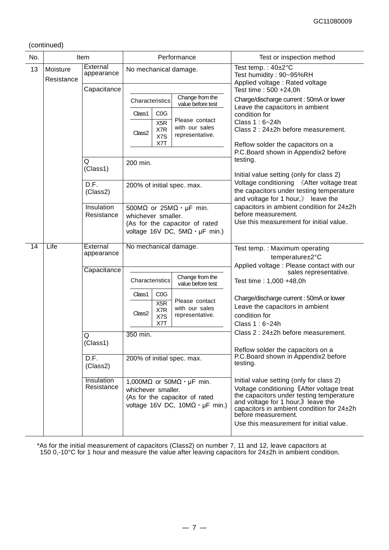(continued)

| No. | Item                   |                               | Performance           |                                |                                                                                                                                     | Test or inspection method                                                                                                                                                                                                                                                              |
|-----|------------------------|-------------------------------|-----------------------|--------------------------------|-------------------------------------------------------------------------------------------------------------------------------------|----------------------------------------------------------------------------------------------------------------------------------------------------------------------------------------------------------------------------------------------------------------------------------------|
| 13  | Moisture<br>Resistance | External<br>appearance        | No mechanical damage. |                                |                                                                                                                                     | Test temp.: $40\pm2^{\circ}C$<br>Test humidity: 90~95%RH<br>Applied voltage: Rated voltage                                                                                                                                                                                             |
|     |                        | Capacitance                   |                       |                                |                                                                                                                                     | Test time: 500 +24,0h                                                                                                                                                                                                                                                                  |
|     |                        |                               | Characteristics       |                                | Change from the<br>value before test                                                                                                | Charge/discharge current: 50mA or lower<br>Leave the capacitors in ambient                                                                                                                                                                                                             |
|     |                        |                               | Class1                | C <sub>0</sub> G               |                                                                                                                                     | condition for                                                                                                                                                                                                                                                                          |
|     |                        |                               | Class <sub>2</sub>    | X <sub>5</sub> R<br>X7R<br>X7S | Please contact<br>with our sales<br>representative.                                                                                 | Class 1: 6~24h<br>Class 2: 24±2h before measurement.                                                                                                                                                                                                                                   |
|     |                        |                               |                       | X7T                            |                                                                                                                                     | Reflow solder the capacitors on a<br>P.C. Board shown in Appendix2 before                                                                                                                                                                                                              |
|     |                        | Q                             | 200 min.              |                                |                                                                                                                                     | testing.                                                                                                                                                                                                                                                                               |
|     |                        | (Class1)                      |                       |                                |                                                                                                                                     | Initial value setting (only for class 2)                                                                                                                                                                                                                                               |
|     |                        | $\overline{D.F.}$<br>(Class2) |                       |                                | 200% of initial spec. max.                                                                                                          | Voltage conditioning 《After voltage treat<br>the capacitors under testing temperature<br>and voltage for 1 hour, $\mathcal{Y}$ leave the                                                                                                                                               |
|     |                        | Insulation<br>Resistance      | whichever smaller.    |                                | 500M $\Omega$ or 25M $\Omega \cdot \mu$ F min.<br>(As for the capacitor of rated<br>voltage 16V DC, $5M\Omega \cdot \mu F$ min.)    | capacitors in ambient condition for 24±2h<br>before measurement.<br>Use this measurement for initial value.                                                                                                                                                                            |
| 14  | Life                   | External<br>appearance        | No mechanical damage. |                                |                                                                                                                                     | Test temp.: Maximum operating<br>temperature±2°C                                                                                                                                                                                                                                       |
|     |                        | Capacitance                   |                       |                                |                                                                                                                                     | Applied voltage : Please contact with our<br>sales representative.                                                                                                                                                                                                                     |
|     |                        |                               | Characteristics       |                                | Change from the<br>value before test                                                                                                | Test time: 1,000 +48,0h                                                                                                                                                                                                                                                                |
|     |                        |                               | Class1                | C <sub>0</sub> G               | Please contact                                                                                                                      | Charge/discharge current: 50mA or lower                                                                                                                                                                                                                                                |
|     |                        |                               |                       | X5R<br>X7R                     | with our sales                                                                                                                      | Leave the capacitors in ambient                                                                                                                                                                                                                                                        |
|     |                        |                               | Class <sub>2</sub>    | X7S<br>X7T                     | representative.                                                                                                                     | condition for<br>Class 1:6~24h                                                                                                                                                                                                                                                         |
|     |                        |                               |                       |                                |                                                                                                                                     | Class 2 : 24±2h before measurement.                                                                                                                                                                                                                                                    |
|     |                        | Q<br>(Class1)                 | 350 min.              |                                |                                                                                                                                     |                                                                                                                                                                                                                                                                                        |
|     |                        |                               |                       |                                |                                                                                                                                     | Reflow solder the capacitors on a<br>P.C. Board shown in Appendix2 before                                                                                                                                                                                                              |
|     |                        | D.F.<br>(Class2)              |                       |                                | 200% of initial spec. max.                                                                                                          | testing.                                                                                                                                                                                                                                                                               |
|     |                        | Insulation<br>Resistance      | whichever smaller.    |                                | 1,000M $\Omega$ or 50M $\Omega \cdot \mu$ F min.<br>(As for the capacitor of rated<br>voltage 16V DC, $10M\Omega \cdot \mu F$ min.) | Initial value setting (only for class 2)<br>Voltage conditioning 《After voltage treat<br>the capacitors under testing temperature<br>and voltage for 1 hour,) leave the<br>capacitors in ambient condition for 24±2h<br>before measurement.<br>Use this measurement for initial value. |

\*As for the initial measurement of capacitors (Class2) on number 7, 11 and 12, leave capacitors at 150 0,-10°C for 1 hour and measure the value after leaving capacitors for 24±2h in ambient condition.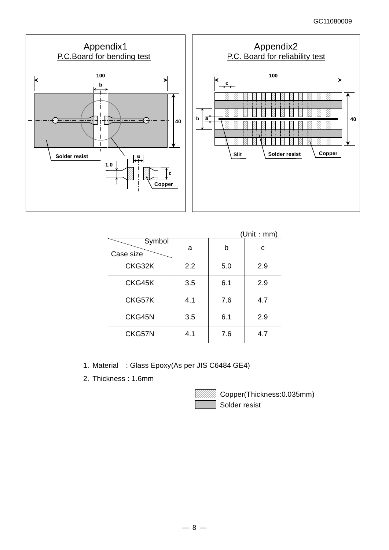

|                     |     |     | (Unit : mm) |
|---------------------|-----|-----|-------------|
| Symbol<br>Case size | a   | b   | с           |
| CKG32K              | 2.2 | 5.0 | 2.9         |
| CKG45K              | 3.5 | 6.1 | 2.9         |
| CKG57K              | 4.1 | 7.6 | 4.7         |
| CKG45N              | 3.5 | 6.1 | 2.9         |
| CKG57N              | 4.1 | 7.6 | 4.7         |

- 1. Material : Glass Epoxy(As per JIS C6484 GE4)
- 2. Thickness : 1.6mm



Copper(Thickness:0.035mm) Solder resist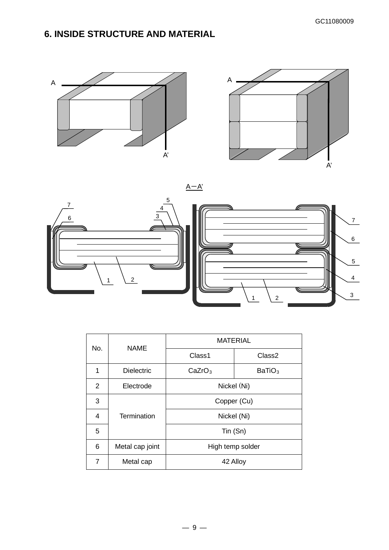# **6. INSIDE STRUCTURE AND MATERIAL**









| No.            | <b>NAME</b>       | <b>MATERIAL</b>    |                    |  |  |
|----------------|-------------------|--------------------|--------------------|--|--|
|                |                   | Class1             | Class <sub>2</sub> |  |  |
| 1              | <b>Dielectric</b> | CaZrO <sub>3</sub> | BaTiO <sub>3</sub> |  |  |
| $\overline{2}$ | Electrode         | Nickel (Ni)        |                    |  |  |
| 3              |                   | Copper (Cu)        |                    |  |  |
| 4              | Termination       | Nickel (Ni)        |                    |  |  |
| 5              |                   | Tin (Sn)           |                    |  |  |
| 6              | Metal cap joint   | High temp solder   |                    |  |  |
| 7              | Metal cap         | 42 Alloy           |                    |  |  |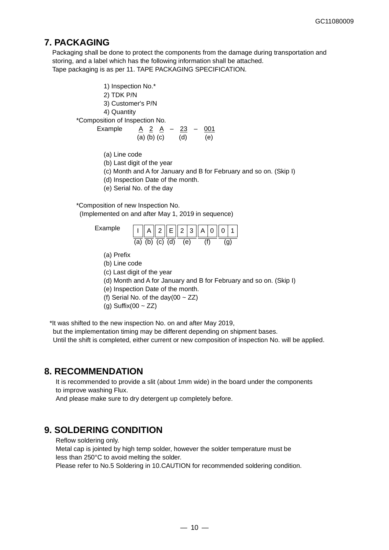# **7. PACKAGING**

Packaging shall be done to protect the components from the damage during transportation and storing, and a label which has the following information shall be attached. Tape packaging is as per 11. TAPE PACKAGING SPECIFICATION.

1) Inspection No.\* 2) TDK P/N 3) Customer's P/N 4) Quantity \*Composition of Inspection No. Example A 2 A – 23 – 001

- (a) (b) (c) (d) (e)
- (a) Line code
- (b) Last digit of the year
- (c) Month and A for January and B for February and so on. (Skip I)
- (d) Inspection Date of the month.
- (e) Serial No. of the day

\*Composition of new Inspection No. (Implemented on and after May 1, 2019 in sequence)



- (a) Prefix
- (b) Line code
- (c) Last digit of the year
- (d) Month and A for January and B for February and so on. (Skip I)
- (e) Inspection Date of the month.
- (f) Serial No. of the day(00  $\sim$  ZZ)
- (g) Suffix(00  $\sim$  ZZ)

\*It was shifted to the new inspection No. on and after May 2019,

but the implementation timing may be different depending on shipment bases.

Until the shift is completed, either current or new composition of inspection No. will be applied.

## **8. RECOMMENDATION**

It is recommended to provide a slit (about 1mm wide) in the board under the components to improve washing Flux.

And please make sure to dry detergent up completely before.

## **9. SOLDERING CONDITION**

Reflow soldering only.

Metal cap is jointed by high temp solder, however the solder temperature must be less than 250°C to avoid melting the solder.

Please refer to No.5 Soldering in 10.CAUTION for recommended soldering condition.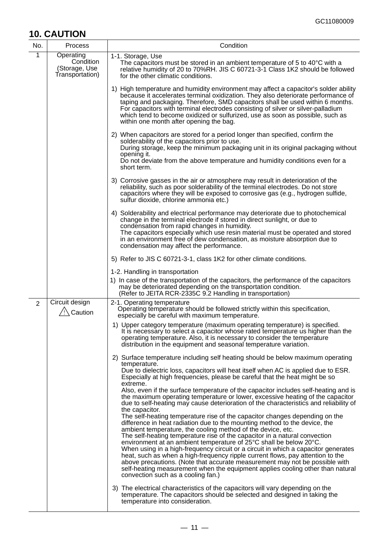# **10. CAUTION**

| No.            | Process                                                    | Condition                                                                                                                                                                                                                                                                                                                                                                                                                                                                                                                                                                                                                                                                                                                                                                                                                                                                                                                                                                                                                                       |
|----------------|------------------------------------------------------------|-------------------------------------------------------------------------------------------------------------------------------------------------------------------------------------------------------------------------------------------------------------------------------------------------------------------------------------------------------------------------------------------------------------------------------------------------------------------------------------------------------------------------------------------------------------------------------------------------------------------------------------------------------------------------------------------------------------------------------------------------------------------------------------------------------------------------------------------------------------------------------------------------------------------------------------------------------------------------------------------------------------------------------------------------|
| 1              | Operating<br>Condition<br>(Storage, Use<br>Transportation) | 1-1. Storage, Use<br>The capacitors must be stored in an ambient temperature of 5 to 40°C with a<br>relative humidity of 20 to 70%RH. JIS C 60721-3-1 Class 1K2 should be followed<br>for the other climatic conditions.                                                                                                                                                                                                                                                                                                                                                                                                                                                                                                                                                                                                                                                                                                                                                                                                                        |
|                |                                                            | 1) High temperature and humidity environment may affect a capacitor's solder ability<br>because it accelerates terminal oxidization. They also deteriorate performance of<br>taping and packaging. Therefore, SMD capacitors shall be used within 6 months.<br>For capacitors with terminal electrodes consisting of silver or silver-palladium<br>which tend to become oxidized or sulfurized, use as soon as possible, such as<br>within one month after opening the bag.                                                                                                                                                                                                                                                                                                                                                                                                                                                                                                                                                                     |
|                |                                                            | 2) When capacitors are stored for a period longer than specified, confirm the<br>solderability of the capacitors prior to use.<br>During storage, keep the minimum packaging unit in its original packaging without<br>opening it.<br>Do not deviate from the above temperature and humidity conditions even for a<br>short term.                                                                                                                                                                                                                                                                                                                                                                                                                                                                                                                                                                                                                                                                                                               |
|                |                                                            | 3) Corrosive gasses in the air or atmosphere may result in deterioration of the<br>reliability, such as poor solderability of the terminal electrodes. Do not store<br>capacitors where they will be exposed to corrosive gas (e.g., hydrogen sulfide,<br>sulfur dioxide, chlorine ammonia etc.)                                                                                                                                                                                                                                                                                                                                                                                                                                                                                                                                                                                                                                                                                                                                                |
|                |                                                            | 4) Solderability and electrical performance may deteriorate due to photochemical<br>change in the terminal electrode if stored in direct sunlight, or due to<br>condensation from rapid changes in humidity.<br>The capacitors especially which use resin material must be operated and stored<br>in an environment free of dew condensation, as moisture absorption due to<br>condensation may affect the performance.                                                                                                                                                                                                                                                                                                                                                                                                                                                                                                                                                                                                                         |
|                |                                                            | 5) Refer to JIS C 60721-3-1, class 1K2 for other climate conditions.                                                                                                                                                                                                                                                                                                                                                                                                                                                                                                                                                                                                                                                                                                                                                                                                                                                                                                                                                                            |
|                |                                                            | 1-2. Handling in transportation<br>1) In case of the transportation of the capacitors, the performance of the capacitors<br>may be deteriorated depending on the transportation condition.<br>(Refer to JEITA RCR-2335C 9.2 Handling in transportation)                                                                                                                                                                                                                                                                                                                                                                                                                                                                                                                                                                                                                                                                                                                                                                                         |
| $\overline{2}$ | Circuit design<br>/ Caution                                | 2-1. Operating temperature<br>Operating temperature should be followed strictly within this specification,<br>especially be careful with maximum temperature.                                                                                                                                                                                                                                                                                                                                                                                                                                                                                                                                                                                                                                                                                                                                                                                                                                                                                   |
|                |                                                            | 1) Upper category temperature (maximum operating temperature) is specified.<br>It is necessary to select a capacitor whose rated temperature us higher than the<br>operating temperature. Also, it is necessary to consider the temperature<br>distribution in the equipment and seasonal temperature variation.                                                                                                                                                                                                                                                                                                                                                                                                                                                                                                                                                                                                                                                                                                                                |
|                |                                                            | 2) Surface temperature including self heating should be below maximum operating<br>temperature.<br>Due to dielectric loss, capacitors will heat itself when AC is applied due to ESR.<br>Especially at high frequencies, please be careful that the heat might be so<br>extreme.                                                                                                                                                                                                                                                                                                                                                                                                                                                                                                                                                                                                                                                                                                                                                                |
|                |                                                            | Also, even if the surface temperature of the capacitor includes self-heating and is<br>the maximum operating temperature or lower, excessive heating of the capacitor<br>due to self-heating may cause deterioration of the characteristics and reliability of<br>the capacitor.<br>The self-heating temperature rise of the capacitor changes depending on the<br>difference in heat radiation due to the mounting method to the device, the<br>ambient temperature, the cooling method of the device, etc.<br>The self-heating temperature rise of the capacitor in a natural convection<br>environment at an ambient temperature of 25°C shall be below 20°C.<br>When using in a high-frequency circuit or a circuit in which a capacitor generates<br>heat, such as when a high-frequency ripple current flows, pay attention to the<br>above precautions. (Note that accurate measurement may not be possible with<br>self-heating measurement when the equipment applies cooling other than natural<br>convection such as a cooling fan.) |
|                |                                                            | 3) The electrical characteristics of the capacitors will vary depending on the<br>temperature. The capacitors should be selected and designed in taking the<br>temperature into consideration.                                                                                                                                                                                                                                                                                                                                                                                                                                                                                                                                                                                                                                                                                                                                                                                                                                                  |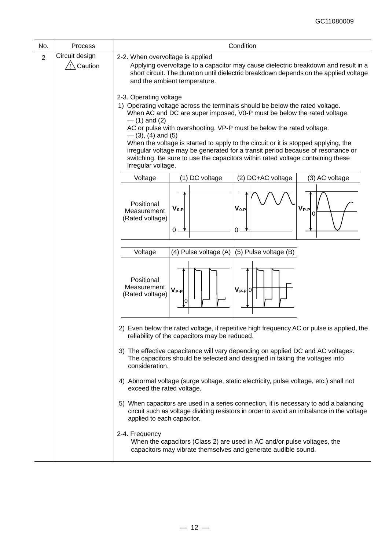| No.                                                                                                                                                        | Process        | Condition                                                                                                                                                                                                                                                                                                                                                                                                                                                                                                                                                                             |  |  |  |  |  |
|------------------------------------------------------------------------------------------------------------------------------------------------------------|----------------|---------------------------------------------------------------------------------------------------------------------------------------------------------------------------------------------------------------------------------------------------------------------------------------------------------------------------------------------------------------------------------------------------------------------------------------------------------------------------------------------------------------------------------------------------------------------------------------|--|--|--|--|--|
| $\overline{2}$                                                                                                                                             | Circuit design | 2-2. When overvoltage is applied                                                                                                                                                                                                                                                                                                                                                                                                                                                                                                                                                      |  |  |  |  |  |
|                                                                                                                                                            | /!∖ Caution    | Applying overvoltage to a capacitor may cause dielectric breakdown and result in a<br>short circuit. The duration until dielectric breakdown depends on the applied voltage<br>and the ambient temperature.                                                                                                                                                                                                                                                                                                                                                                           |  |  |  |  |  |
|                                                                                                                                                            |                | 2-3. Operating voltage<br>1) Operating voltage across the terminals should be below the rated voltage.<br>When AC and DC are super imposed, V0-P must be below the rated voltage.<br>$-$ (1) and (2)<br>AC or pulse with overshooting, VP-P must be below the rated voltage.<br>$-$ (3), (4) and (5)<br>When the voltage is started to apply to the circuit or it is stopped applying, the<br>irregular voltage may be generated for a transit period because of resonance or<br>switching. Be sure to use the capacitors within rated voltage containing these<br>Irregular voltage. |  |  |  |  |  |
|                                                                                                                                                            |                | (1) DC voltage<br>(2) DC+AC voltage<br>Voltage<br>(3) AC voltage                                                                                                                                                                                                                                                                                                                                                                                                                                                                                                                      |  |  |  |  |  |
|                                                                                                                                                            |                | Positional<br>$V_{0-P}$<br>$V_{0-P}$<br>$V_{P-P}$<br>Measurement<br>0<br>(Rated voltage)<br>$0 \cdot$<br>0                                                                                                                                                                                                                                                                                                                                                                                                                                                                            |  |  |  |  |  |
|                                                                                                                                                            |                | (4) Pulse voltage (A)<br>(5) Pulse voltage (B)<br>Voltage                                                                                                                                                                                                                                                                                                                                                                                                                                                                                                                             |  |  |  |  |  |
|                                                                                                                                                            |                | Positional<br>Measurement<br>$V_{P-P}$ $0$<br>$V_{P-P}$<br>(Rated voltage)<br>0                                                                                                                                                                                                                                                                                                                                                                                                                                                                                                       |  |  |  |  |  |
|                                                                                                                                                            |                | 2) Even below the rated voltage, if repetitive high frequency AC or pulse is applied, the<br>reliability of the capacitors may be reduced.                                                                                                                                                                                                                                                                                                                                                                                                                                            |  |  |  |  |  |
|                                                                                                                                                            |                | 3) The effective capacitance will vary depending on applied DC and AC voltages.<br>The capacitors should be selected and designed in taking the voltages into<br>consideration.                                                                                                                                                                                                                                                                                                                                                                                                       |  |  |  |  |  |
|                                                                                                                                                            |                | 4) Abnormal voltage (surge voltage, static electricity, pulse voltage, etc.) shall not<br>exceed the rated voltage.                                                                                                                                                                                                                                                                                                                                                                                                                                                                   |  |  |  |  |  |
|                                                                                                                                                            |                | 5) When capacitors are used in a series connection, it is necessary to add a balancing<br>circuit such as voltage dividing resistors in order to avoid an imbalance in the voltage<br>applied to each capacitor.                                                                                                                                                                                                                                                                                                                                                                      |  |  |  |  |  |
| 2-4. Frequency<br>When the capacitors (Class 2) are used in AC and/or pulse voltages, the<br>capacitors may vibrate themselves and generate audible sound. |                |                                                                                                                                                                                                                                                                                                                                                                                                                                                                                                                                                                                       |  |  |  |  |  |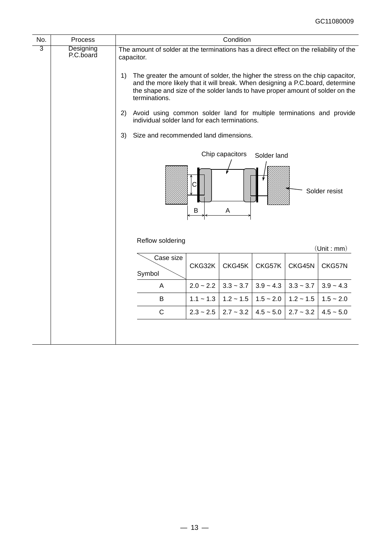| No. | Process                |                                                                                                                                                                                                                                                                                                                                                                                                                                                                                                                                                                    |             | Condition            |             |             |               |
|-----|------------------------|--------------------------------------------------------------------------------------------------------------------------------------------------------------------------------------------------------------------------------------------------------------------------------------------------------------------------------------------------------------------------------------------------------------------------------------------------------------------------------------------------------------------------------------------------------------------|-------------|----------------------|-------------|-------------|---------------|
| 3   | Designing<br>P.C.board | The amount of solder at the terminations has a direct effect on the reliability of the<br>capacitor.<br>The greater the amount of solder, the higher the stress on the chip capacitor,<br>1)<br>and the more likely that it will break. When designing a P.C.board, determine<br>the shape and size of the solder lands to have proper amount of solder on the<br>terminations.<br>Avoid using common solder land for multiple terminations and provide<br>2)<br>individual solder land for each terminations.<br>3)<br>Size and recommended land dimensions.<br>B |             | Chip capacitors<br>A | Solder land |             | Solder resist |
|     |                        | Reflow soldering                                                                                                                                                                                                                                                                                                                                                                                                                                                                                                                                                   |             |                      |             |             | (Unit : mm)   |
|     |                        | Case size<br>Symbol                                                                                                                                                                                                                                                                                                                                                                                                                                                                                                                                                | CKG32K      | CKG45K               | CKG57K      | CKG45N      | CKG57N        |
|     |                        | A                                                                                                                                                                                                                                                                                                                                                                                                                                                                                                                                                                  | $2.0 - 2.2$ | $3.3 - 3.7$          | $3.9 - 4.3$ | $3.3 - 3.7$ | $3.9 - 4.3$   |
|     |                        | B                                                                                                                                                                                                                                                                                                                                                                                                                                                                                                                                                                  | $1.1 - 1.3$ | $1.2 \sim 1.5$       | $1.5 - 2.0$ | $1.2 - 1.5$ | $1.5 - 2.0$   |
|     |                        | $\mathsf C$                                                                                                                                                                                                                                                                                                                                                                                                                                                                                                                                                        | $2.3 - 2.5$ | $2.7 - 3.2$          | $4.5 - 5.0$ | $2.7 - 3.2$ | $4.5 - 5.0$   |
|     |                        |                                                                                                                                                                                                                                                                                                                                                                                                                                                                                                                                                                    |             |                      |             |             |               |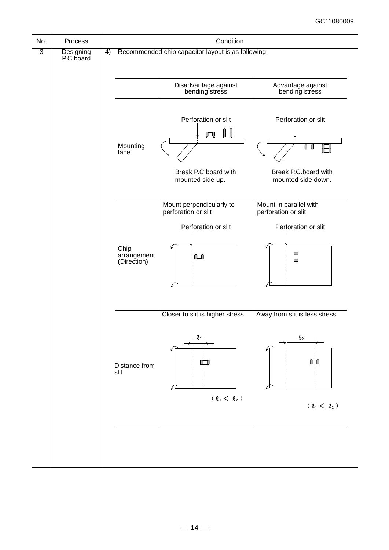| No. | Process                |    |                                                    | Condition                                                                         |                                                                             |  |  |  |
|-----|------------------------|----|----------------------------------------------------|-----------------------------------------------------------------------------------|-----------------------------------------------------------------------------|--|--|--|
| 3   | Designing<br>P.C.board | 4) | Recommended chip capacitor layout is as following. |                                                                                   |                                                                             |  |  |  |
|     |                        |    |                                                    | Disadvantage against<br>bending stress                                            | Advantage against<br>bending stress                                         |  |  |  |
|     |                        |    | Mounting<br>face                                   | Perforation or slit<br>N۸<br>Break P.C.board with<br>mounted side up.             | Perforation or slit<br>ألطأ<br>Break P.C.board with<br>mounted side down.   |  |  |  |
|     |                        |    | Chip<br>arrangement<br>(Direction)                 | Mount perpendicularly to<br>perforation or slit<br>Perforation or slit<br>$\Box$  | Mount in parallel with<br>perforation or slit<br>Perforation or slit<br>Π   |  |  |  |
|     |                        |    | Distance from<br>slit                              | Closer to slit is higher stress<br>$\mathbf{\ell}_1$<br>IГ<br>$(\ell_1 < \ell_2)$ | Away from slit is less stress<br>$\mathbf{\ell}_{2}$<br>$(\ell_1 < \ell_2)$ |  |  |  |
|     |                        |    |                                                    |                                                                                   |                                                                             |  |  |  |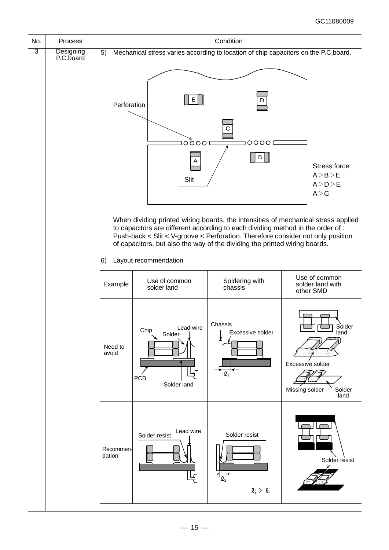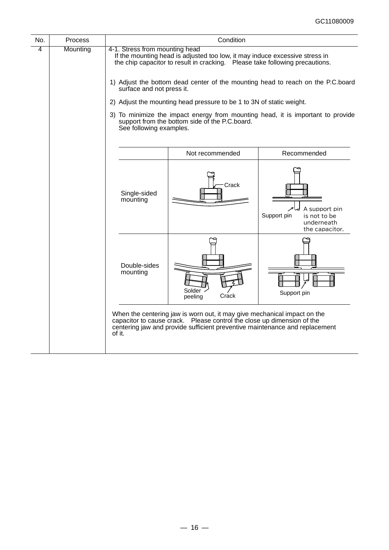| No. | <b>Process</b> |                                                                                                                                                                                                                                                                                                                                                                                        | Condition                                                                                                                                                                                                                         |                                                                              |  |  |  |
|-----|----------------|----------------------------------------------------------------------------------------------------------------------------------------------------------------------------------------------------------------------------------------------------------------------------------------------------------------------------------------------------------------------------------------|-----------------------------------------------------------------------------------------------------------------------------------------------------------------------------------------------------------------------------------|------------------------------------------------------------------------------|--|--|--|
| 4   | Mounting       | 4-1. Stress from mounting head<br>If the mounting head is adjusted too low, it may induce excessive stress in<br>the chip capacitor to result in cracking.  Please take following precautions.<br>1) Adjust the bottom dead center of the mounting head to reach on the P.C.board<br>surface and not press it.<br>2) Adjust the mounting head pressure to be 1 to 3N of static weight. |                                                                                                                                                                                                                                   |                                                                              |  |  |  |
|     |                | 3) To minimize the impact energy from mounting head, it is important to provide<br>support from the bottom side of the P.C.board.<br>See following examples.                                                                                                                                                                                                                           |                                                                                                                                                                                                                                   |                                                                              |  |  |  |
|     |                |                                                                                                                                                                                                                                                                                                                                                                                        | Not recommended                                                                                                                                                                                                                   | Recommended                                                                  |  |  |  |
|     |                | Single-sided<br>mounting                                                                                                                                                                                                                                                                                                                                                               | Crack                                                                                                                                                                                                                             | A support pin<br>Support pin<br>is not to be<br>underneath<br>the capacitor. |  |  |  |
|     |                | Double-sides<br>mounting                                                                                                                                                                                                                                                                                                                                                               | Solder .<br>Crack<br>peeling                                                                                                                                                                                                      | Support pin                                                                  |  |  |  |
|     |                | of it.                                                                                                                                                                                                                                                                                                                                                                                 | When the centering jaw is worn out, it may give mechanical impact on the<br>capacitor to cause crack. Please control the close up dimension of the<br>centering jaw and provide sufficient preventive maintenance and replacement |                                                                              |  |  |  |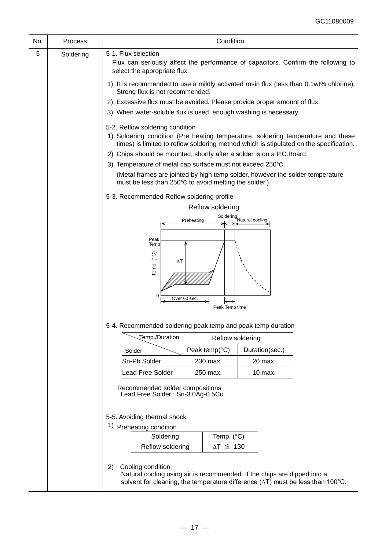| No. | Process   |                                                                                                                                                                                                                                                                                                                                                                                                                                                                                                 | Condition           |                                                                          |  |  |  |
|-----|-----------|-------------------------------------------------------------------------------------------------------------------------------------------------------------------------------------------------------------------------------------------------------------------------------------------------------------------------------------------------------------------------------------------------------------------------------------------------------------------------------------------------|---------------------|--------------------------------------------------------------------------|--|--|--|
| 5   | Soldering | 5-1. Flux selection<br>Flux can seriously affect the performance of capacitors. Confirm the following to<br>select the appropriate flux.                                                                                                                                                                                                                                                                                                                                                        |                     |                                                                          |  |  |  |
|     |           | 1) It is recommended to use a mildly activated rosin flux (less than 0.1wt% chlorine).<br>Strong flux is not recommended.                                                                                                                                                                                                                                                                                                                                                                       |                     |                                                                          |  |  |  |
|     |           |                                                                                                                                                                                                                                                                                                                                                                                                                                                                                                 |                     | 2) Excessive flux must be avoided. Please provide proper amount of flux. |  |  |  |
|     |           | 3) When water-soluble flux is used, enough washing is necessary.                                                                                                                                                                                                                                                                                                                                                                                                                                |                     |                                                                          |  |  |  |
|     |           | 5-2. Reflow soldering condition<br>1) Soldering condition (Pre heating temperature, soldering temperature and these<br>times) is limited to reflow soldering method which is stipulated on the specification.<br>2) Chips should be mounted, shortly after a solder is on a P.C. Board.<br>3) Temperature of metal cap surface must not exceed 250°C.<br>(Metal frames are jointed by high temp solder, however the solder temperature<br>must be less than 250°C to avoid melting the solder.) |                     |                                                                          |  |  |  |
|     |           | 5-3. Recommended Reflow soldering profile                                                                                                                                                                                                                                                                                                                                                                                                                                                       |                     |                                                                          |  |  |  |
|     |           |                                                                                                                                                                                                                                                                                                                                                                                                                                                                                                 | Reflow soldering    |                                                                          |  |  |  |
|     |           |                                                                                                                                                                                                                                                                                                                                                                                                                                                                                                 | Preheating          | Soldering<br>Natural cooling                                             |  |  |  |
|     |           | Peak<br>Temp<br>Temp. (°C)<br>$\Delta T$<br>0<br>Over 60 sec.<br>5-4. Recommended soldering peak temp and peak temp duration                                                                                                                                                                                                                                                                                                                                                                    | Peak Temp time      |                                                                          |  |  |  |
|     |           | Temp./Duration                                                                                                                                                                                                                                                                                                                                                                                                                                                                                  | Reflow soldering    |                                                                          |  |  |  |
|     |           | Solder                                                                                                                                                                                                                                                                                                                                                                                                                                                                                          | Peak temp( $°C$ )   | Duration(sec.)                                                           |  |  |  |
|     |           | Sn-Pb Solder                                                                                                                                                                                                                                                                                                                                                                                                                                                                                    | 230 max.            | 20 max.                                                                  |  |  |  |
|     |           | <b>Lead Free Solder</b>                                                                                                                                                                                                                                                                                                                                                                                                                                                                         | 250 max.<br>10 max. |                                                                          |  |  |  |
|     |           | Recommended solder compositions<br>Lead Free Solder: Sn-3.0Ag-0.5Cu                                                                                                                                                                                                                                                                                                                                                                                                                             |                     |                                                                          |  |  |  |
|     |           | 5-5. Avoiding thermal shock                                                                                                                                                                                                                                                                                                                                                                                                                                                                     |                     |                                                                          |  |  |  |
|     |           | 1)<br>Preheating condition                                                                                                                                                                                                                                                                                                                                                                                                                                                                      |                     |                                                                          |  |  |  |
|     |           | Soldering                                                                                                                                                                                                                                                                                                                                                                                                                                                                                       | Temp. (°C)          |                                                                          |  |  |  |
|     |           | Reflow soldering                                                                                                                                                                                                                                                                                                                                                                                                                                                                                | $\Delta T \leq 130$ |                                                                          |  |  |  |
|     |           | Cooling condition<br>2)<br>Natural cooling using air is recommended. If the chips are dipped into a<br>solvent for cleaning, the temperature difference $(\Delta T)$ must be less than 100°C.                                                                                                                                                                                                                                                                                                   |                     |                                                                          |  |  |  |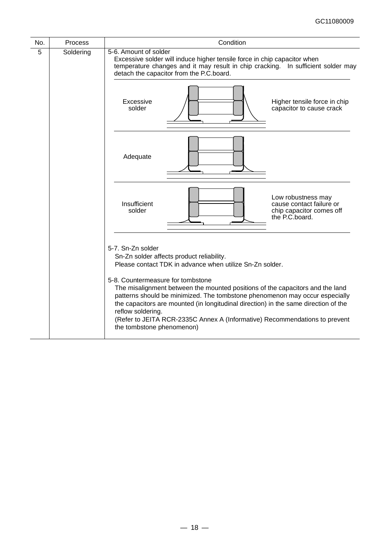| No. | Process   | Condition                                                                                                                                                                                                                                                                                                                                                                                                                                                                                                                                              |  |  |  |  |
|-----|-----------|--------------------------------------------------------------------------------------------------------------------------------------------------------------------------------------------------------------------------------------------------------------------------------------------------------------------------------------------------------------------------------------------------------------------------------------------------------------------------------------------------------------------------------------------------------|--|--|--|--|
| 5   | Soldering | 5-6. Amount of solder<br>Excessive solder will induce higher tensile force in chip capacitor when<br>temperature changes and it may result in chip cracking. In sufficient solder may<br>detach the capacitor from the P.C.board.                                                                                                                                                                                                                                                                                                                      |  |  |  |  |
|     |           | Excessive<br>Higher tensile force in chip<br>solder<br>capacitor to cause crack                                                                                                                                                                                                                                                                                                                                                                                                                                                                        |  |  |  |  |
|     |           | Adequate                                                                                                                                                                                                                                                                                                                                                                                                                                                                                                                                               |  |  |  |  |
|     |           | Low robustness may<br>Insufficient<br>cause contact failure or<br>solder<br>chip capacitor comes off<br>the P.C.board.                                                                                                                                                                                                                                                                                                                                                                                                                                 |  |  |  |  |
|     |           | 5-7. Sn-Zn solder<br>Sn-Zn solder affects product reliability.<br>Please contact TDK in advance when utilize Sn-Zn solder.<br>5-8. Countermeasure for tombstone<br>The misalignment between the mounted positions of the capacitors and the land<br>patterns should be minimized. The tombstone phenomenon may occur especially<br>the capacitors are mounted (in longitudinal direction) in the same direction of the<br>reflow soldering.<br>(Refer to JEITA RCR-2335C Annex A (Informative) Recommendations to prevent<br>the tombstone phenomenon) |  |  |  |  |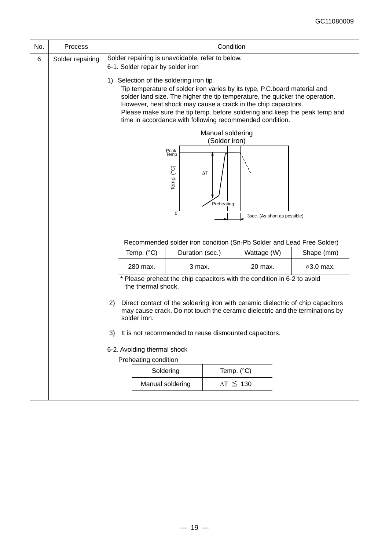| No. | <b>Process</b>   | Condition                                                                             |                            |                                   |                                                                                                                                                                                                                                                                                        |                                                                                                                                                                 |  |
|-----|------------------|---------------------------------------------------------------------------------------|----------------------------|-----------------------------------|----------------------------------------------------------------------------------------------------------------------------------------------------------------------------------------------------------------------------------------------------------------------------------------|-----------------------------------------------------------------------------------------------------------------------------------------------------------------|--|
| 6   | Solder repairing | Solder repairing is unavoidable, refer to below.<br>6-1. Solder repair by solder iron |                            |                                   |                                                                                                                                                                                                                                                                                        |                                                                                                                                                                 |  |
|     |                  | Selection of the soldering iron tip<br>1)                                             |                            |                                   | Tip temperature of solder iron varies by its type, P.C.board material and<br>solder land size. The higher the tip temperature, the quicker the operation.<br>However, heat shock may cause a crack in the chip capacitors.<br>time in accordance with following recommended condition. | Please make sure the tip temp. before soldering and keep the peak temp and                                                                                      |  |
|     |                  |                                                                                       |                            | Manual soldering<br>(Solder iron) |                                                                                                                                                                                                                                                                                        |                                                                                                                                                                 |  |
|     |                  |                                                                                       | Peak<br>Temp<br>Temp. (°C) | $\Delta T$                        |                                                                                                                                                                                                                                                                                        |                                                                                                                                                                 |  |
|     |                  |                                                                                       |                            |                                   |                                                                                                                                                                                                                                                                                        |                                                                                                                                                                 |  |
|     |                  |                                                                                       | 0                          | Preheating                        | 3sec. (As short as possible)                                                                                                                                                                                                                                                           |                                                                                                                                                                 |  |
|     |                  |                                                                                       |                            |                                   |                                                                                                                                                                                                                                                                                        |                                                                                                                                                                 |  |
|     |                  |                                                                                       |                            |                                   | Recommended solder iron condition (Sn-Pb Solder and Lead Free Solder)                                                                                                                                                                                                                  |                                                                                                                                                                 |  |
|     |                  | Temp. (°C)                                                                            | Duration (sec.)            |                                   | Wattage (W)                                                                                                                                                                                                                                                                            | Shape (mm)                                                                                                                                                      |  |
|     |                  | 280 max.<br>the thermal shock.                                                        | 3 max.                     |                                   | 20 max.<br>* Please preheat the chip capacitors with the condition in 6-2 to avoid                                                                                                                                                                                                     | ⊘3.0 max.                                                                                                                                                       |  |
|     |                  | 2)<br>solder iron.                                                                    |                            |                                   |                                                                                                                                                                                                                                                                                        | Direct contact of the soldering iron with ceramic dielectric of chip capacitors<br>may cause crack. Do not touch the ceramic dielectric and the terminations by |  |
|     |                  | 3)                                                                                    |                            |                                   | It is not recommended to reuse dismounted capacitors.                                                                                                                                                                                                                                  |                                                                                                                                                                 |  |
|     |                  | 6-2. Avoiding thermal shock                                                           |                            |                                   |                                                                                                                                                                                                                                                                                        |                                                                                                                                                                 |  |
|     |                  | Preheating condition                                                                  |                            |                                   |                                                                                                                                                                                                                                                                                        |                                                                                                                                                                 |  |
|     |                  | Soldering                                                                             |                            |                                   | Temp. (°C)                                                                                                                                                                                                                                                                             |                                                                                                                                                                 |  |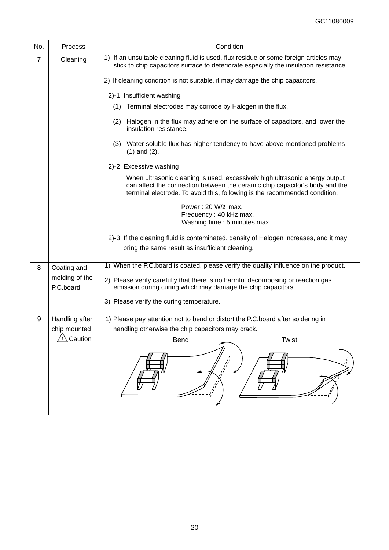| 1) If an unsuitable cleaning fluid is used, flux residue or some foreign articles may<br>stick to chip capacitors surface to deteriorate especially the insulation resistance.                                                           |
|------------------------------------------------------------------------------------------------------------------------------------------------------------------------------------------------------------------------------------------|
| 2) If cleaning condition is not suitable, it may damage the chip capacitors.                                                                                                                                                             |
|                                                                                                                                                                                                                                          |
| (1) Terminal electrodes may corrode by Halogen in the flux.                                                                                                                                                                              |
| Halogen in the flux may adhere on the surface of capacitors, and lower the                                                                                                                                                               |
| (3) Water soluble flux has higher tendency to have above mentioned problems                                                                                                                                                              |
|                                                                                                                                                                                                                                          |
| When ultrasonic cleaning is used, excessively high ultrasonic energy output<br>can affect the connection between the ceramic chip capacitor's body and the<br>terminal electrode. To avoid this, following is the recommended condition. |
| Washing time: 5 minutes max.                                                                                                                                                                                                             |
| 2)-3. If the cleaning fluid is contaminated, density of Halogen increases, and it may                                                                                                                                                    |
|                                                                                                                                                                                                                                          |
| 1) When the P.C.board is coated, please verify the quality influence on the product.                                                                                                                                                     |
| 2) Please verify carefully that there is no harmful decomposing or reaction gas<br>emission during curing which may damage the chip capacitors.                                                                                          |
|                                                                                                                                                                                                                                          |
| 1) Please pay attention not to bend or distort the P.C.board after soldering in                                                                                                                                                          |
|                                                                                                                                                                                                                                          |
|                                                                                                                                                                                                                                          |
| Twist                                                                                                                                                                                                                                    |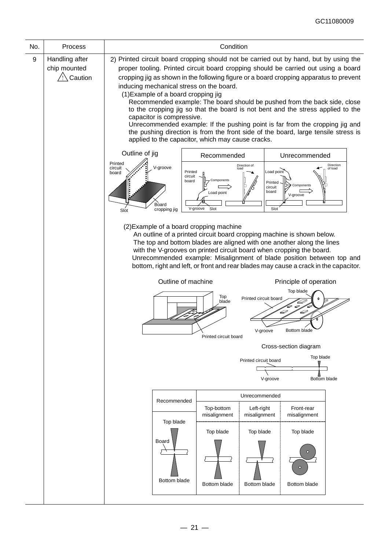| Process                                   | Condition                                                                                                                                                                                                                                                                                                                                                                                                                                                                                                                                                                                                                                                                                                                                                                        |                                           |                                     |                                                         |                                                                                           |  |  |  |
|-------------------------------------------|----------------------------------------------------------------------------------------------------------------------------------------------------------------------------------------------------------------------------------------------------------------------------------------------------------------------------------------------------------------------------------------------------------------------------------------------------------------------------------------------------------------------------------------------------------------------------------------------------------------------------------------------------------------------------------------------------------------------------------------------------------------------------------|-------------------------------------------|-------------------------------------|---------------------------------------------------------|-------------------------------------------------------------------------------------------|--|--|--|
| Handling after<br>chip mounted<br>Caution | 2) Printed circuit board cropping should not be carried out by hand, but by using the<br>proper tooling. Printed circuit board cropping should be carried out using a board<br>cropping jig as shown in the following figure or a board cropping apparatus to prevent<br>inducing mechanical stress on the board.<br>(1) Example of a board cropping jig<br>Recommended example: The board should be pushed from the back side, close<br>to the cropping jig so that the board is not bent and the stress applied to the<br>capacitor is compressive.<br>Unrecommended example: If the pushing point is far from the cropping jig and<br>the pushing direction is from the front side of the board, large tensile stress is<br>applied to the capacitor, which may cause cracks. |                                           |                                     |                                                         |                                                                                           |  |  |  |
|                                           | Outline of jig<br>Recommended<br>Unrecommended<br>Printed<br>Direction<br>Direction of<br>V-groove<br>circuit<br>of load<br>loac<br>Load point<br>Printed<br>board<br>circuit<br>Components<br>board<br>Printed<br>Components<br>circuit<br>board<br>Load point<br>V-groove<br>Board<br>V-groove<br>Slot<br>Slot<br>cropping jig<br>Slot                                                                                                                                                                                                                                                                                                                                                                                                                                         |                                           |                                     |                                                         |                                                                                           |  |  |  |
|                                           | (2) Example of a board cropping machine<br>An outline of a printed circuit board cropping machine is shown below.<br>The top and bottom blades are aligned with one another along the lines<br>with the V-grooves on printed circuit board when cropping the board.<br>Unrecommended example: Misalignment of blade position between top and<br>bottom, right and left, or front and rear blades may cause a crack in the capacitor.<br>Outline of machine<br>Principle of operation<br>Top blade<br>Top<br>Printed circuit board<br>blade<br>$\varnothing$<br>D<br>v-groove<br><b>DOITOITI DIAGE</b>                                                                                                                                                                            |                                           |                                     |                                                         |                                                                                           |  |  |  |
|                                           |                                                                                                                                                                                                                                                                                                                                                                                                                                                                                                                                                                                                                                                                                                                                                                                  |                                           |                                     |                                                         |                                                                                           |  |  |  |
|                                           |                                                                                                                                                                                                                                                                                                                                                                                                                                                                                                                                                                                                                                                                                                                                                                                  |                                           | V-groove                            |                                                         |                                                                                           |  |  |  |
|                                           | Unrecommended<br>Recommended                                                                                                                                                                                                                                                                                                                                                                                                                                                                                                                                                                                                                                                                                                                                                     |                                           |                                     |                                                         |                                                                                           |  |  |  |
|                                           | Top blade<br>Board<br><b>Bottom blade</b>                                                                                                                                                                                                                                                                                                                                                                                                                                                                                                                                                                                                                                                                                                                                        | misalignment<br>Top blade<br>Bottom blade |                                     | misalignment<br>Top blade<br>$\circ$<br>Bottom blade    |                                                                                           |  |  |  |
|                                           |                                                                                                                                                                                                                                                                                                                                                                                                                                                                                                                                                                                                                                                                                                                                                                                  |                                           | Printed circuit board<br>Top-bottom | Left-right<br>misalignment<br>Top blade<br>Bottom blade | Cross-section diagram<br>Top blade<br>Printed circuit board<br>Bottom blade<br>Front-rear |  |  |  |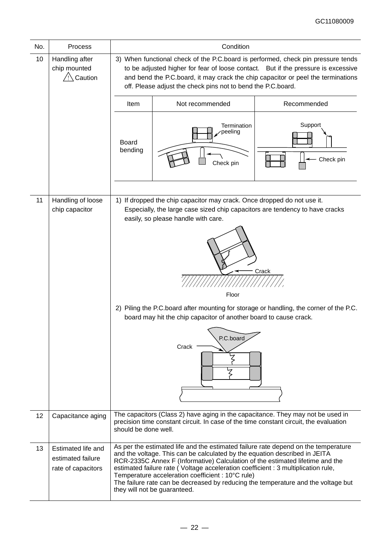| No. | <b>Process</b>                                                | Condition                                                                                                                                                                                                                                                                                                                                                                                             |                                                                                                                                                                                                                                                                                                                                                                                                                                                                                                                  |                      |  |  |  |  |  |
|-----|---------------------------------------------------------------|-------------------------------------------------------------------------------------------------------------------------------------------------------------------------------------------------------------------------------------------------------------------------------------------------------------------------------------------------------------------------------------------------------|------------------------------------------------------------------------------------------------------------------------------------------------------------------------------------------------------------------------------------------------------------------------------------------------------------------------------------------------------------------------------------------------------------------------------------------------------------------------------------------------------------------|----------------------|--|--|--|--|--|
| 10  | Handling after<br>chip mounted<br>Caution                     | 3) When functional check of the P.C.board is performed, check pin pressure tends<br>to be adjusted higher for fear of loose contact. But if the pressure is excessive<br>and bend the P.C.board, it may crack the chip capacitor or peel the terminations<br>off. Please adjust the check pins not to bend the P.C.board.                                                                             |                                                                                                                                                                                                                                                                                                                                                                                                                                                                                                                  |                      |  |  |  |  |  |
|     |                                                               | Item                                                                                                                                                                                                                                                                                                                                                                                                  | Not recommended                                                                                                                                                                                                                                                                                                                                                                                                                                                                                                  | Recommended          |  |  |  |  |  |
|     |                                                               | Board<br>bending                                                                                                                                                                                                                                                                                                                                                                                      | <b>Termination</b><br>peeling<br>Check pin                                                                                                                                                                                                                                                                                                                                                                                                                                                                       | Support<br>Check pin |  |  |  |  |  |
| 11  | Handling of loose<br>chip capacitor                           | 1) If dropped the chip capacitor may crack. Once dropped do not use it.<br>Especially, the large case sized chip capacitors are tendency to have cracks<br>easily, so please handle with care.<br>Crack<br>Floor<br>2) Piling the P.C.board after mounting for storage or handling, the corner of the P.C.<br>board may hit the chip capacitor of another board to cause crack.<br>P.C.board<br>Crack |                                                                                                                                                                                                                                                                                                                                                                                                                                                                                                                  |                      |  |  |  |  |  |
| 12  | Capacitance aging                                             | should be done well.                                                                                                                                                                                                                                                                                                                                                                                  | The capacitors (Class 2) have aging in the capacitance. They may not be used in<br>precision time constant circuit. In case of the time constant circuit, the evaluation                                                                                                                                                                                                                                                                                                                                         |                      |  |  |  |  |  |
| 13  | Estimated life and<br>estimated failure<br>rate of capacitors |                                                                                                                                                                                                                                                                                                                                                                                                       | As per the estimated life and the estimated failure rate depend on the temperature<br>and the voltage. This can be calculated by the equation described in JEITA<br>RCR-2335C Annex F (Informative) Calculation of the estimated lifetime and the<br>estimated failure rate (Voltage acceleration coefficient : 3 multiplication rule,<br>Temperature acceleration coefficient : 10°C rule)<br>The failure rate can be decreased by reducing the temperature and the voltage but<br>they will not be guaranteed. |                      |  |  |  |  |  |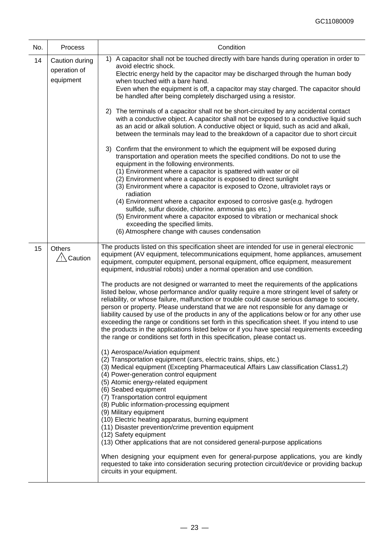| No. | <b>Process</b>                              | Condition                                                                                                                                                                                                                                                                                                                                                                                                                                                                                                                                                                                                                                                                                                                                                                                                                                                                                                                                                                                                                                                                                                                                                                                                                                                                                                                                                                                                                                                          |
|-----|---------------------------------------------|--------------------------------------------------------------------------------------------------------------------------------------------------------------------------------------------------------------------------------------------------------------------------------------------------------------------------------------------------------------------------------------------------------------------------------------------------------------------------------------------------------------------------------------------------------------------------------------------------------------------------------------------------------------------------------------------------------------------------------------------------------------------------------------------------------------------------------------------------------------------------------------------------------------------------------------------------------------------------------------------------------------------------------------------------------------------------------------------------------------------------------------------------------------------------------------------------------------------------------------------------------------------------------------------------------------------------------------------------------------------------------------------------------------------------------------------------------------------|
| 14  | Caution during<br>operation of<br>equipment | A capacitor shall not be touched directly with bare hands during operation in order to<br>1)<br>avoid electric shock.<br>Electric energy held by the capacitor may be discharged through the human body<br>when touched with a bare hand.<br>Even when the equipment is off, a capacitor may stay charged. The capacitor should<br>be handled after being completely discharged using a resistor.                                                                                                                                                                                                                                                                                                                                                                                                                                                                                                                                                                                                                                                                                                                                                                                                                                                                                                                                                                                                                                                                  |
|     |                                             | 2) The terminals of a capacitor shall not be short-circuited by any accidental contact<br>with a conductive object. A capacitor shall not be exposed to a conductive liquid such<br>as an acid or alkali solution. A conductive object or liquid, such as acid and alkali,<br>between the terminals may lead to the breakdown of a capacitor due to short circuit                                                                                                                                                                                                                                                                                                                                                                                                                                                                                                                                                                                                                                                                                                                                                                                                                                                                                                                                                                                                                                                                                                  |
|     |                                             | 3) Confirm that the environment to which the equipment will be exposed during<br>transportation and operation meets the specified conditions. Do not to use the<br>equipment in the following environments.<br>(1) Environment where a capacitor is spattered with water or oil<br>(2) Environment where a capacitor is exposed to direct sunlight<br>(3) Environment where a capacitor is exposed to Ozone, ultraviolet rays or<br>radiation<br>(4) Environment where a capacitor exposed to corrosive gas(e.g. hydrogen<br>sulfide, sulfur dioxide, chlorine. ammonia gas etc.)                                                                                                                                                                                                                                                                                                                                                                                                                                                                                                                                                                                                                                                                                                                                                                                                                                                                                  |
|     |                                             | (5) Environment where a capacitor exposed to vibration or mechanical shock<br>exceeding the specified limits.<br>(6) Atmosphere change with causes condensation                                                                                                                                                                                                                                                                                                                                                                                                                                                                                                                                                                                                                                                                                                                                                                                                                                                                                                                                                                                                                                                                                                                                                                                                                                                                                                    |
| 15  | <b>Others</b><br>/!∖ Caution                | The products listed on this specification sheet are intended for use in general electronic<br>equipment (AV equipment, telecommunications equipment, home appliances, amusement<br>equipment, computer equipment, personal equipment, office equipment, measurement<br>equipment, industrial robots) under a normal operation and use condition.<br>The products are not designed or warranted to meet the requirements of the applications<br>listed below, whose performance and/or quality require a more stringent level of safety or<br>reliability, or whose failure, malfunction or trouble could cause serious damage to society,<br>person or property. Please understand that we are not responsible for any damage or<br>liability caused by use of the products in any of the applications below or for any other use<br>exceeding the range or conditions set forth in this specification sheet. If you intend to use<br>the products in the applications listed below or if you have special requirements exceeding<br>the range or conditions set forth in this specification, please contact us.<br>(1) Aerospace/Aviation equipment<br>(2) Transportation equipment (cars, electric trains, ships, etc.)<br>(3) Medical equipment (Excepting Pharmaceutical Affairs Law classification Class1,2)<br>(4) Power-generation control equipment<br>(5) Atomic energy-related equipment<br>(6) Seabed equipment<br>(7) Transportation control equipment |
|     |                                             | (8) Public information-processing equipment<br>(9) Military equipment<br>(10) Electric heating apparatus, burning equipment<br>(11) Disaster prevention/crime prevention equipment<br>(12) Safety equipment<br>(13) Other applications that are not considered general-purpose applications<br>When designing your equipment even for general-purpose applications, you are kindly<br>requested to take into consideration securing protection circuit/device or providing backup<br>circuits in your equipment.                                                                                                                                                                                                                                                                                                                                                                                                                                                                                                                                                                                                                                                                                                                                                                                                                                                                                                                                                   |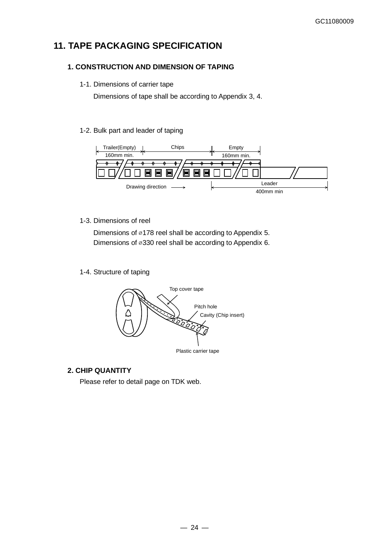# **11. TAPE PACKAGING SPECIFICATION**

## **1. CONSTRUCTION AND DIMENSION OF TAPING**

### 1-1. Dimensions of carrier tape

Dimensions of tape shall be according to Appendix 3, 4.

## 1-2. Bulk part and leader of taping



## 1-3. Dimensions of reel

Dimensions of ⌀178 reel shall be according to Appendix 5. Dimensions of ⌀330 reel shall be according to Appendix 6.

1-4. Structure of taping



## **2. CHIP QUANTITY**

Please refer to detail page on TDK web.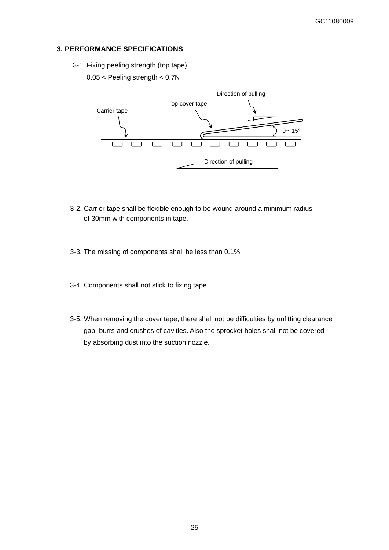## **3. PERFORMANCE SPECIFICATIONS**

- 3-1. Fixing peeling strength (top tape)
	- 0.05 < Peeling strength < 0.7N



- 3-2. Carrier tape shall be flexible enough to be wound around a minimum radius of 30mm with components in tape.
- 3-3. The missing of components shall be less than 0.1%
- 3-4. Components shall not stick to fixing tape.
- 3-5. When removing the cover tape, there shall not be difficulties by unfitting clearance gap, burrs and crushes of cavities. Also the sprocket holes shall not be covered by absorbing dust into the suction nozzle.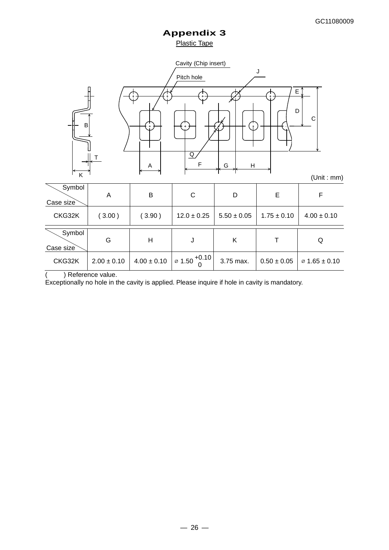## **Appendix 3** Plastic Tape



| Symbol<br>Case size | A               | B               | С                                       | D               | Е               | F                         |
|---------------------|-----------------|-----------------|-----------------------------------------|-----------------|-----------------|---------------------------|
| CKG32K              | (3.00)          | (3.90)          | $12.0 \pm 0.25$                         | $5.50 \pm 0.05$ | $1.75 \pm 0.10$ | $4.00 \pm 0.10$           |
| Symbol<br>Case size | G               | Η               | J                                       | Κ               |                 | Q                         |
| CKG32K              | $2.00 \pm 0.10$ | $4.00 \pm 0.10$ | $1 \varnothing 1.50$ <sup>+0.10</sup> l | 3.75 max.       | $0.50 \pm 0.05$ | $\varnothing$ 1.65 ± 0.10 |

( ) Reference value.

Exceptionally no hole in the cavity is applied. Please inquire if hole in cavity is mandatory.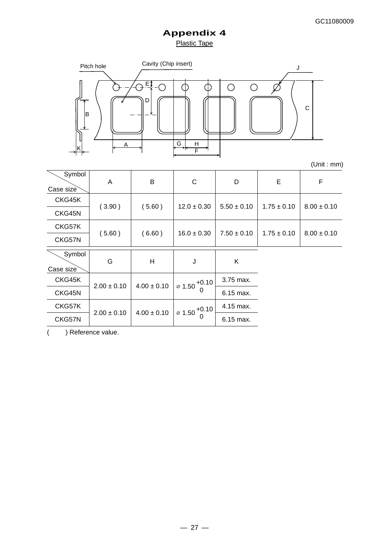# **Appendix 4** Plastic Tape



(Unit : mm)

| Symbol<br>Case size | A               | B               | $\mathsf{C}$                    | D               | E               | F               |  |
|---------------------|-----------------|-----------------|---------------------------------|-----------------|-----------------|-----------------|--|
| CKG45K              |                 |                 |                                 |                 |                 | $8.00 \pm 0.10$ |  |
| CKG45N              | (3.90)          | (5.60)          | $12.0 \pm 0.30$                 | $5.50 \pm 0.10$ | $1.75 \pm 0.10$ |                 |  |
| CKG57K              |                 |                 |                                 |                 | $1.75 \pm 0.10$ |                 |  |
| CKG57N              | (5.60)          | (6.60)          | $16.0 \pm 0.30$                 | $7.50 \pm 0.10$ |                 | $8.00 \pm 0.10$ |  |
| Symbol<br>Case size | G               | H               | J                               | Κ               |                 |                 |  |
| CKG45K              |                 | $4.00 \pm 0.10$ | $\varnothing$ 1.50 $^{+0.10}$ L | 3.75 max.       |                 |                 |  |
| CKG45N              | $2.00 \pm 0.10$ |                 | $\Omega$                        | 6.15 max.       |                 |                 |  |
| CKG57K              |                 |                 |                                 | 4.15 max.       |                 |                 |  |
| CKG57N              | $2.00 \pm 0.10$ | $4.00 \pm 0.10$ | $\varnothing$ 1.50              | 6.15 max.       |                 |                 |  |

( ) Reference value.